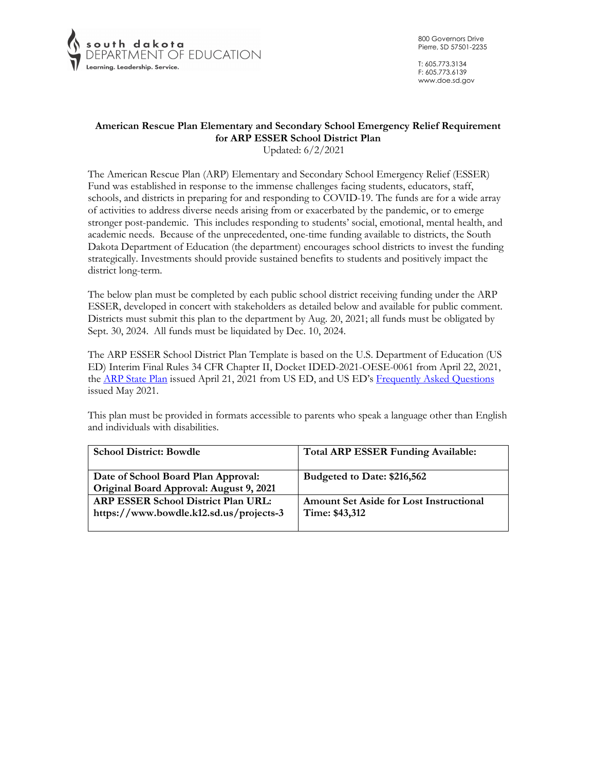

T: 605.773.3134 F: 605.773.6139 www.doe.sd.gov

# **American Rescue Plan Elementary and Secondary School Emergency Relief Requirement for ARP ESSER School District Plan**

Updated: 6/2/2021

The American Rescue Plan (ARP) Elementary and Secondary School Emergency Relief (ESSER) Fund was established in response to the immense challenges facing students, educators, staff, schools, and districts in preparing for and responding to COVID-19. The funds are for a wide array of activities to address diverse needs arising from or exacerbated by the pandemic, or to emerge stronger post-pandemic. This includes responding to students' social, emotional, mental health, and academic needs. Because of the unprecedented, one-time funding available to districts, the South Dakota Department of Education (the department) encourages school districts to invest the funding strategically. Investments should provide sustained benefits to students and positively impact the district long-term.

The below plan must be completed by each public school district receiving funding under the ARP ESSER, developed in concert with stakeholders as detailed below and available for public comment. Districts must submit this plan to the department by Aug. 20, 2021; all funds must be obligated by Sept. 30, 2024. All funds must be liquidated by Dec. 10, 2024.

The ARP ESSER School District Plan Template is based on the U.S. Department of Education (US ED) Interim Final Rules 34 CFR Chapter II, Docket IDED-2021-OESE-0061 from April 22, 2021, the **ARP State Plan** issued April 21, 2021 from US ED, and US ED's Frequently Asked Questions issued May 2021.

This plan must be provided in formats accessible to parents who speak a language other than English and individuals with disabilities.

| <b>School District: Bowdle</b>          | <b>Total ARP ESSER Funding Available:</b>      |
|-----------------------------------------|------------------------------------------------|
|                                         |                                                |
| Date of School Board Plan Approval:     | Budgeted to Date: \$216,562                    |
| Original Board Approval: August 9, 2021 |                                                |
| ARP ESSER School District Plan URL:     | <b>Amount Set Aside for Lost Instructional</b> |
| https://www.bowdle.k12.sd.us/projects-3 | Time: \$43,312                                 |
|                                         |                                                |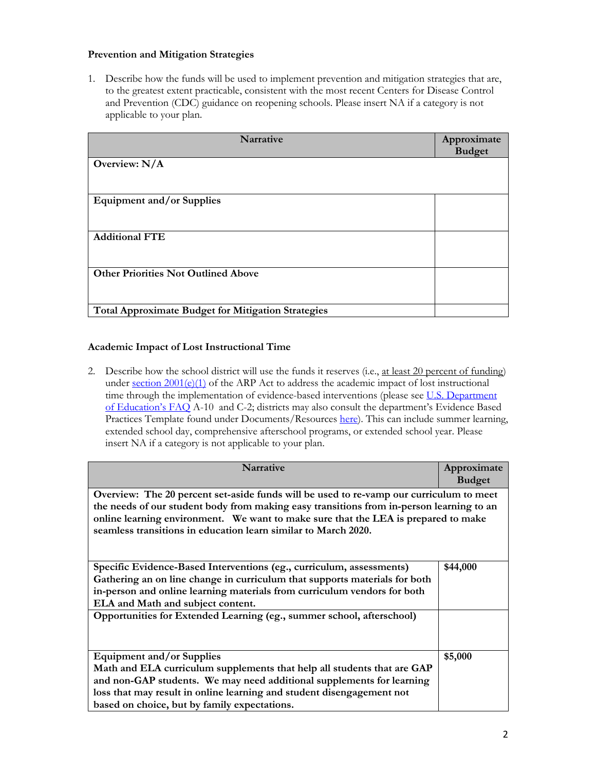# **Prevention and Mitigation Strategies**

1. Describe how the funds will be used to implement prevention and mitigation strategies that are, to the greatest extent practicable, consistent with the most recent Centers for Disease Control and Prevention (CDC) guidance on reopening schools. Please insert NA if a category is not applicable to your plan.

| <b>Narrative</b>                                          | Approximate<br><b>Budget</b> |
|-----------------------------------------------------------|------------------------------|
| Overview: $N/A$                                           |                              |
| <b>Equipment and/or Supplies</b>                          |                              |
| <b>Additional FTE</b>                                     |                              |
| <b>Other Priorities Not Outlined Above</b>                |                              |
| <b>Total Approximate Budget for Mitigation Strategies</b> |                              |

# **Academic Impact of Lost Instructional Time**

2. Describe how the school district will use the funds it reserves (i.e., at least 20 percent of funding) under section  $2001(e)(1)$  of the ARP Act to address the academic impact of lost instructional time through the implementation of evidence-based interventions (please see U.S. Department of Education's FAQ A-10 and C-2; districts may also consult the department's Evidence Based Practices Template found under Documents/Resources here). This can include summer learning, extended school day, comprehensive afterschool programs, or extended school year. Please insert NA if a category is not applicable to your plan.

| <b>Narrative</b>                                                                         | Approximate<br><b>Budget</b> |
|------------------------------------------------------------------------------------------|------------------------------|
| Overview: The 20 percent set-aside funds will be used to re-vamp our curriculum to meet  |                              |
| the needs of our student body from making easy transitions from in-person learning to an |                              |
| online learning environment. We want to make sure that the LEA is prepared to make       |                              |
| seamless transitions in education learn similar to March 2020.                           |                              |
|                                                                                          |                              |
| Specific Evidence-Based Interventions (eg., curriculum, assessments)                     | \$44,000                     |
| Gathering an on line change in curriculum that supports materials for both               |                              |
| in-person and online learning materials from curriculum vendors for both                 |                              |
| ELA and Math and subject content.                                                        |                              |
| Opportunities for Extended Learning (eg., summer school, afterschool)                    |                              |
|                                                                                          |                              |
|                                                                                          |                              |
| <b>Equipment and/or Supplies</b>                                                         | \$5,000                      |
| Math and ELA curriculum supplements that help all students that are GAP                  |                              |
| and non-GAP students. We may need additional supplements for learning                    |                              |
| loss that may result in online learning and student disengagement not                    |                              |
| based on choice, but by family expectations.                                             |                              |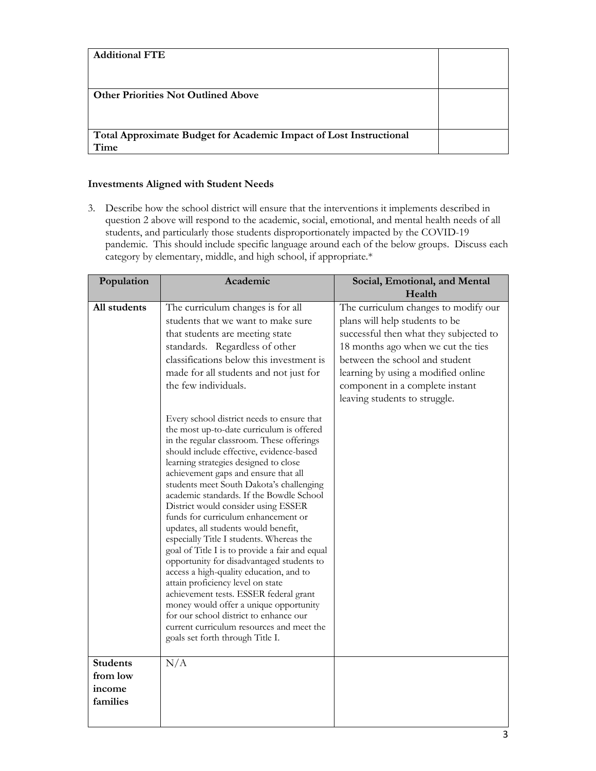| <b>Additional FTE</b>                                              |  |
|--------------------------------------------------------------------|--|
|                                                                    |  |
|                                                                    |  |
| <b>Other Priorities Not Outlined Above</b>                         |  |
|                                                                    |  |
|                                                                    |  |
| Total Approximate Budget for Academic Impact of Lost Instructional |  |
| Time                                                               |  |

# **Investments Aligned with Student Needs**

3. Describe how the school district will ensure that the interventions it implements described in question 2 above will respond to the academic, social, emotional, and mental health needs of all students, and particularly those students disproportionately impacted by the COVID-19 pandemic. This should include specific language around each of the below groups. Discuss each category by elementary, middle, and high school, if appropriate.\*

| All students<br>The curriculum changes is for all<br>The curriculum changes to modify our<br>students that we want to make sure<br>plans will help students to be<br>that students are meeting state<br>successful then what they subjected to<br>standards. Regardless of other<br>18 months ago when we cut the ties<br>between the school and student<br>classifications below this investment is<br>made for all students and not just for<br>learning by using a modified online<br>the few individuals.<br>component in a complete instant<br>leaving students to struggle.<br>Every school district needs to ensure that<br>the most up-to-date curriculum is offered<br>in the regular classroom. These offerings<br>should include effective, evidence-based<br>learning strategies designed to close<br>achievement gaps and ensure that all<br>students meet South Dakota's challenging<br>academic standards. If the Bowdle School<br>District would consider using ESSER<br>funds for curriculum enhancement or<br>updates, all students would benefit,<br>especially Title I students. Whereas the<br>goal of Title I is to provide a fair and equal<br>opportunity for disadvantaged students to<br>access a high-quality education, and to<br>attain proficiency level on state<br>achievement tests. ESSER federal grant<br>money would offer a unique opportunity<br>for our school district to enhance our<br>current curriculum resources and meet the<br>goals set forth through Title I.<br><b>Students</b><br>N/A<br>from low<br>income<br>families | Population | Academic | Social, Emotional, and Mental |
|----------------------------------------------------------------------------------------------------------------------------------------------------------------------------------------------------------------------------------------------------------------------------------------------------------------------------------------------------------------------------------------------------------------------------------------------------------------------------------------------------------------------------------------------------------------------------------------------------------------------------------------------------------------------------------------------------------------------------------------------------------------------------------------------------------------------------------------------------------------------------------------------------------------------------------------------------------------------------------------------------------------------------------------------------------------------------------------------------------------------------------------------------------------------------------------------------------------------------------------------------------------------------------------------------------------------------------------------------------------------------------------------------------------------------------------------------------------------------------------------------------------------------------------------------------------------------|------------|----------|-------------------------------|
|                                                                                                                                                                                                                                                                                                                                                                                                                                                                                                                                                                                                                                                                                                                                                                                                                                                                                                                                                                                                                                                                                                                                                                                                                                                                                                                                                                                                                                                                                                                                                                            |            |          | Health                        |
|                                                                                                                                                                                                                                                                                                                                                                                                                                                                                                                                                                                                                                                                                                                                                                                                                                                                                                                                                                                                                                                                                                                                                                                                                                                                                                                                                                                                                                                                                                                                                                            |            |          |                               |
|                                                                                                                                                                                                                                                                                                                                                                                                                                                                                                                                                                                                                                                                                                                                                                                                                                                                                                                                                                                                                                                                                                                                                                                                                                                                                                                                                                                                                                                                                                                                                                            |            |          |                               |
|                                                                                                                                                                                                                                                                                                                                                                                                                                                                                                                                                                                                                                                                                                                                                                                                                                                                                                                                                                                                                                                                                                                                                                                                                                                                                                                                                                                                                                                                                                                                                                            |            |          |                               |
|                                                                                                                                                                                                                                                                                                                                                                                                                                                                                                                                                                                                                                                                                                                                                                                                                                                                                                                                                                                                                                                                                                                                                                                                                                                                                                                                                                                                                                                                                                                                                                            |            |          |                               |
|                                                                                                                                                                                                                                                                                                                                                                                                                                                                                                                                                                                                                                                                                                                                                                                                                                                                                                                                                                                                                                                                                                                                                                                                                                                                                                                                                                                                                                                                                                                                                                            |            |          |                               |
|                                                                                                                                                                                                                                                                                                                                                                                                                                                                                                                                                                                                                                                                                                                                                                                                                                                                                                                                                                                                                                                                                                                                                                                                                                                                                                                                                                                                                                                                                                                                                                            |            |          |                               |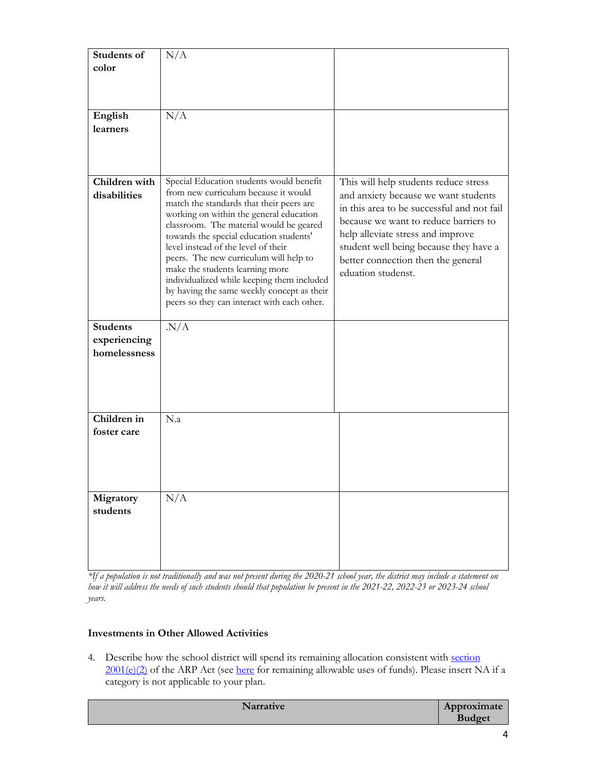| Students of     | N/A                                         |                                            |
|-----------------|---------------------------------------------|--------------------------------------------|
| color           |                                             |                                            |
|                 |                                             |                                            |
|                 |                                             |                                            |
|                 |                                             |                                            |
| English         | N/A                                         |                                            |
| learners        |                                             |                                            |
|                 |                                             |                                            |
|                 |                                             |                                            |
|                 |                                             |                                            |
|                 |                                             |                                            |
| Children with   | Special Education students would benefit    | This will help students reduce stress      |
| disabilities    | from new curriculum because it would        |                                            |
|                 | match the standards that their peers are    | and anxiety because we want students       |
|                 | working on within the general education     | in this area to be successful and not fail |
|                 | classroom. The material would be geared     | because we want to reduce barriers to      |
|                 | towards the special education students'     | help alleviate stress and improve          |
|                 | level instead of the level of their         | student well being because they have a     |
|                 | peers. The new curriculum will help to      | better connection then the general         |
|                 | make the students learning more             | eduation studenst.                         |
|                 | individualized while keeping them included  |                                            |
|                 | by having the same weekly concept as their  |                                            |
|                 | peers so they can interact with each other. |                                            |
|                 |                                             |                                            |
| <b>Students</b> | N/A                                         |                                            |
| experiencing    |                                             |                                            |
| homelessness    |                                             |                                            |
|                 |                                             |                                            |
|                 |                                             |                                            |
|                 |                                             |                                            |
|                 |                                             |                                            |
|                 |                                             |                                            |
| Children in     | N.a                                         |                                            |
| foster care     |                                             |                                            |
|                 |                                             |                                            |
|                 |                                             |                                            |
|                 |                                             |                                            |
|                 |                                             |                                            |
|                 |                                             |                                            |
| Migratory       | N/A                                         |                                            |
| students        |                                             |                                            |
|                 |                                             |                                            |
|                 |                                             |                                            |
|                 |                                             |                                            |
|                 |                                             |                                            |
|                 |                                             |                                            |

*\*If a population is not traditionally and was not present during the 2020-21 school year, the district may include a statement on how it will address the needs of such students should that population be present in the 2021-22, 2022-23 or 2023-24 school years.*

# **Investments in Other Allowed Activities**

4. Describe how the school district will spend its remaining allocation consistent with section 2001(e)(2) of the ARP Act (see here for remaining allowable uses of funds). Please insert NA if a category is not applicable to your plan.

| <b>Narrative</b> | Approximate<br><b>Budget</b> |
|------------------|------------------------------|
|                  |                              |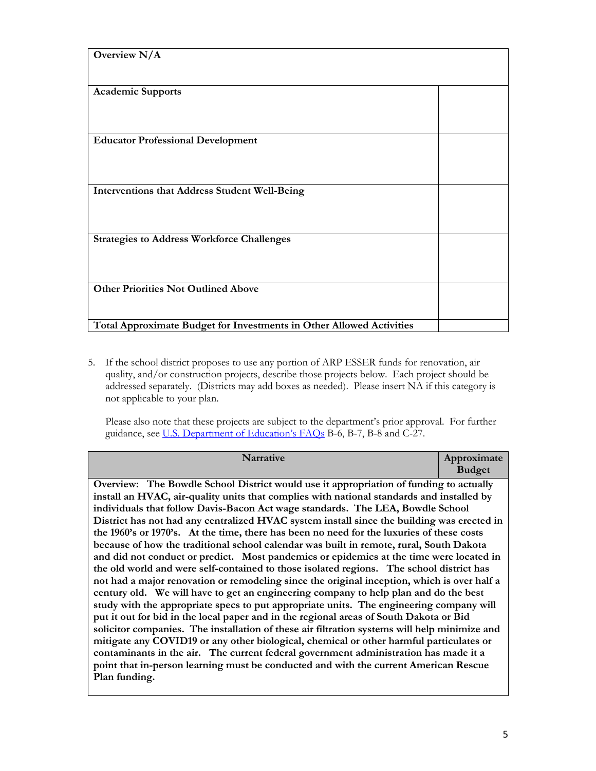| Overview $N/A$<br><b>Academic Supports</b><br><b>Educator Professional Development</b><br><b>Interventions that Address Student Well-Being</b><br><b>Strategies to Address Workforce Challenges</b><br><b>Other Priorities Not Outlined Above</b><br>Total Approximate Budget for Investments in Other Allowed Activities |  |
|---------------------------------------------------------------------------------------------------------------------------------------------------------------------------------------------------------------------------------------------------------------------------------------------------------------------------|--|
|                                                                                                                                                                                                                                                                                                                           |  |
|                                                                                                                                                                                                                                                                                                                           |  |
|                                                                                                                                                                                                                                                                                                                           |  |
|                                                                                                                                                                                                                                                                                                                           |  |
|                                                                                                                                                                                                                                                                                                                           |  |
|                                                                                                                                                                                                                                                                                                                           |  |
|                                                                                                                                                                                                                                                                                                                           |  |
|                                                                                                                                                                                                                                                                                                                           |  |
|                                                                                                                                                                                                                                                                                                                           |  |
|                                                                                                                                                                                                                                                                                                                           |  |
|                                                                                                                                                                                                                                                                                                                           |  |
|                                                                                                                                                                                                                                                                                                                           |  |
|                                                                                                                                                                                                                                                                                                                           |  |
|                                                                                                                                                                                                                                                                                                                           |  |
|                                                                                                                                                                                                                                                                                                                           |  |
|                                                                                                                                                                                                                                                                                                                           |  |
|                                                                                                                                                                                                                                                                                                                           |  |
|                                                                                                                                                                                                                                                                                                                           |  |
|                                                                                                                                                                                                                                                                                                                           |  |
|                                                                                                                                                                                                                                                                                                                           |  |
|                                                                                                                                                                                                                                                                                                                           |  |
|                                                                                                                                                                                                                                                                                                                           |  |
|                                                                                                                                                                                                                                                                                                                           |  |
|                                                                                                                                                                                                                                                                                                                           |  |
|                                                                                                                                                                                                                                                                                                                           |  |
|                                                                                                                                                                                                                                                                                                                           |  |
|                                                                                                                                                                                                                                                                                                                           |  |
|                                                                                                                                                                                                                                                                                                                           |  |

5. If the school district proposes to use any portion of ARP ESSER funds for renovation, air quality, and/or construction projects, describe those projects below. Each project should be addressed separately. (Districts may add boxes as needed). Please insert NA if this category is not applicable to your plan.

Please also note that these projects are subject to the department's prior approval. For further guidance, see U.S. Department of Education's FAQs B-6, B-7, B-8 and C-27.

| <b>Narrative</b>                                                                                                                                                                                                                                                                                                                                                                                                                                                                                                                                                                                                                                                                                                                                                                                                                                                                                                                                                                                                                                                                                                                                                                                                                                                                                                                                                                                                                                                                                                           | Approximate<br><b>Budget</b> |
|----------------------------------------------------------------------------------------------------------------------------------------------------------------------------------------------------------------------------------------------------------------------------------------------------------------------------------------------------------------------------------------------------------------------------------------------------------------------------------------------------------------------------------------------------------------------------------------------------------------------------------------------------------------------------------------------------------------------------------------------------------------------------------------------------------------------------------------------------------------------------------------------------------------------------------------------------------------------------------------------------------------------------------------------------------------------------------------------------------------------------------------------------------------------------------------------------------------------------------------------------------------------------------------------------------------------------------------------------------------------------------------------------------------------------------------------------------------------------------------------------------------------------|------------------------------|
| Overview: The Bowdle School District would use it appropriation of funding to actually<br>install an HVAC, air-quality units that complies with national standards and installed by<br>individuals that follow Davis-Bacon Act wage standards. The LEA, Bowdle School<br>District has not had any centralized HVAC system install since the building was erected in<br>the 1960's or 1970's. At the time, there has been no need for the luxuries of these costs<br>because of how the traditional school calendar was built in remote, rural, South Dakota<br>and did not conduct or predict. Most pandemics or epidemics at the time were located in<br>the old world and were self-contained to those isolated regions. The school district has<br>not had a major renovation or remodeling since the original inception, which is over half a<br>century old. We will have to get an engineering company to help plan and do the best<br>study with the appropriate specs to put appropriate units. The engineering company will<br>put it out for bid in the local paper and in the regional areas of South Dakota or Bid<br>solicitor companies. The installation of these air filtration systems will help minimize and<br>mitigate any COVID19 or any other biological, chemical or other harmful particulates or<br>contaminants in the air. The current federal government administration has made it a<br>point that in-person learning must be conducted and with the current American Rescue<br>Plan funding. |                              |
|                                                                                                                                                                                                                                                                                                                                                                                                                                                                                                                                                                                                                                                                                                                                                                                                                                                                                                                                                                                                                                                                                                                                                                                                                                                                                                                                                                                                                                                                                                                            |                              |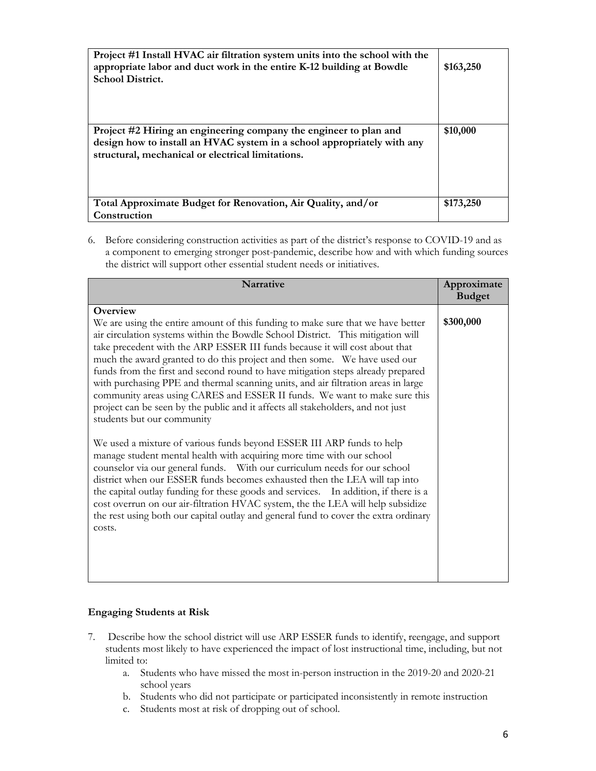| Project #1 Install HVAC air filtration system units into the school with the<br>appropriate labor and duct work in the entire K-12 building at Bowdle<br><b>School District.</b>                  | \$163,250 |
|---------------------------------------------------------------------------------------------------------------------------------------------------------------------------------------------------|-----------|
| Project #2 Hiring an engineering company the engineer to plan and<br>design how to install an HVAC system in a school appropriately with any<br>structural, mechanical or electrical limitations. | \$10,000  |
| Total Approximate Budget for Renovation, Air Quality, and/or<br>Construction                                                                                                                      | \$173,250 |

6. Before considering construction activities as part of the district's response to COVID-19 and as a component to emerging stronger post-pandemic, describe how and with which funding sources the district will support other essential student needs or initiatives.

| Narrative                                                                                                                                                                                                                                                                                                                                                                                                                                                                                                                                                                                                                                                                                                        | Approximate   |
|------------------------------------------------------------------------------------------------------------------------------------------------------------------------------------------------------------------------------------------------------------------------------------------------------------------------------------------------------------------------------------------------------------------------------------------------------------------------------------------------------------------------------------------------------------------------------------------------------------------------------------------------------------------------------------------------------------------|---------------|
|                                                                                                                                                                                                                                                                                                                                                                                                                                                                                                                                                                                                                                                                                                                  | <b>Budget</b> |
| Overview<br>We are using the entire amount of this funding to make sure that we have better<br>air circulation systems within the Bowdle School District. This mitigation will<br>take precedent with the ARP ESSER III funds because it will cost about that<br>much the award granted to do this project and then some. We have used our<br>funds from the first and second round to have mitigation steps already prepared<br>with purchasing PPE and thermal scanning units, and air filtration areas in large<br>community areas using CARES and ESSER II funds. We want to make sure this<br>project can be seen by the public and it affects all stakeholders, and not just<br>students but our community | \$300,000     |
| We used a mixture of various funds beyond ESSER III ARP funds to help<br>manage student mental health with acquiring more time with our school<br>counselor via our general funds. With our curriculum needs for our school<br>district when our ESSER funds becomes exhausted then the LEA will tap into<br>the capital outlay funding for these goods and services. In addition, if there is a<br>cost overrun on our air-filtration HVAC system, the the LEA will help subsidize<br>the rest using both our capital outlay and general fund to cover the extra ordinary<br>costs.                                                                                                                             |               |

# **Engaging Students at Risk**

- 7. Describe how the school district will use ARP ESSER funds to identify, reengage, and support students most likely to have experienced the impact of lost instructional time, including, but not limited to:
	- a. Students who have missed the most in-person instruction in the 2019-20 and 2020-21 school years
	- b. Students who did not participate or participated inconsistently in remote instruction
	- c. Students most at risk of dropping out of school.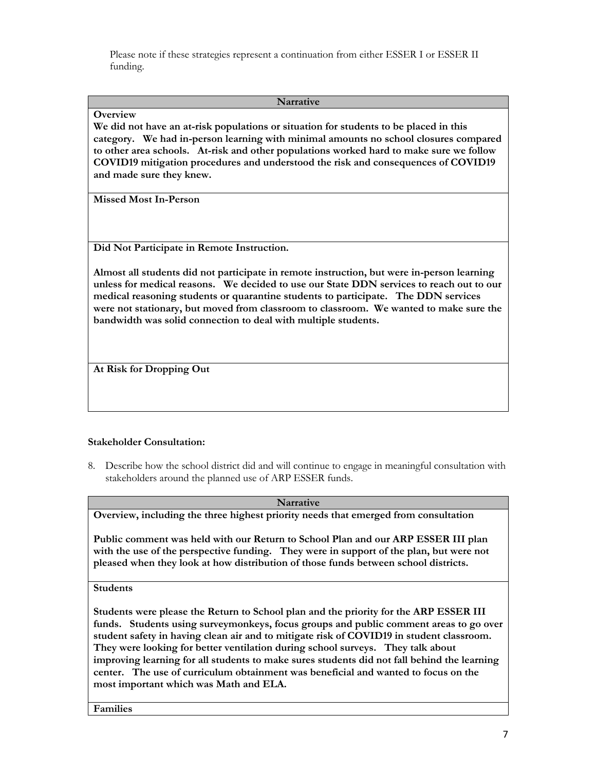Please note if these strategies represent a continuation from either ESSER I or ESSER II funding.

#### **Narrative**

### **Overview**

**We did not have an at-risk populations or situation for students to be placed in this category. We had in-person learning with minimal amounts no school closures compared to other area schools. At-risk and other populations worked hard to make sure we follow COVID19 mitigation procedures and understood the risk and consequences of COVID19 and made sure they knew.**

**Missed Most In-Person**

**Did Not Participate in Remote Instruction.** 

**Almost all students did not participate in remote instruction, but were in-person learning unless for medical reasons. We decided to use our State DDN services to reach out to our medical reasoning students or quarantine students to participate. The DDN services were not stationary, but moved from classroom to classroom. We wanted to make sure the bandwidth was solid connection to deal with multiple students.**

**At Risk for Dropping Out**

# **Stakeholder Consultation:**

8. Describe how the school district did and will continue to engage in meaningful consultation with stakeholders around the planned use of ARP ESSER funds.

#### **Narrative**

**Overview, including the three highest priority needs that emerged from consultation**

**Public comment was held with our Return to School Plan and our ARP ESSER III plan with the use of the perspective funding. They were in support of the plan, but were not pleased when they look at how distribution of those funds between school districts.**

**Students**

**Students were please the Return to School plan and the priority for the ARP ESSER III funds. Students using surveymonkeys, focus groups and public comment areas to go over student safety in having clean air and to mitigate risk of COVID19 in student classroom. They were looking for better ventilation during school surveys. They talk about improving learning for all students to make sures students did not fall behind the learning center. The use of curriculum obtainment was beneficial and wanted to focus on the most important which was Math and ELA.**

**Families**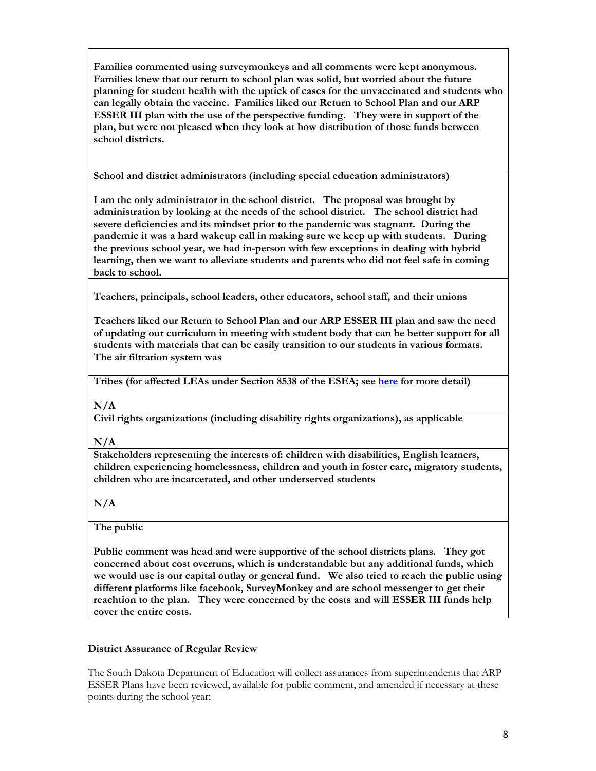**Families commented using surveymonkeys and all comments were kept anonymous. Families knew that our return to school plan was solid, but worried about the future planning for student health with the uptick of cases for the unvaccinated and students who can legally obtain the vaccine. Families liked our Return to School Plan and our ARP ESSER III plan with the use of the perspective funding. They were in support of the plan, but were not pleased when they look at how distribution of those funds between school districts.**

**School and district administrators (including special education administrators)**

**I am the only administrator in the school district. The proposal was brought by administration by looking at the needs of the school district. The school district had severe deficiencies and its mindset prior to the pandemic was stagnant. During the pandemic it was a hard wakeup call in making sure we keep up with students. During the previous school year, we had in-person with few exceptions in dealing with hybrid learning, then we want to alleviate students and parents who did not feel safe in coming back to school.**

**Teachers, principals, school leaders, other educators, school staff, and their unions**

**Teachers liked our Return to School Plan and our ARP ESSER III plan and saw the need of updating our curriculum in meeting with student body that can be better support for all students with materials that can be easily transition to our students in various formats. The air filtration system was** 

**Tribes (for affected LEAs under Section 8538 of the ESEA; see here for more detail)**

**N/A**

**Civil rights organizations (including disability rights organizations), as applicable**

**N/A**

**Stakeholders representing the interests of: children with disabilities, English learners, children experiencing homelessness, children and youth in foster care, migratory students, children who are incarcerated, and other underserved students**

**N/A**

# **The public**

**Public comment was head and were supportive of the school districts plans. They got concerned about cost overruns, which is understandable but any additional funds, which we would use is our capital outlay or general fund. We also tried to reach the public using different platforms like facebook, SurveyMonkey and are school messenger to get their reachtion to the plan. They were concerned by the costs and will ESSER III funds help cover the entire costs.**

# **District Assurance of Regular Review**

The South Dakota Department of Education will collect assurances from superintendents that ARP ESSER Plans have been reviewed, available for public comment, and amended if necessary at these points during the school year: